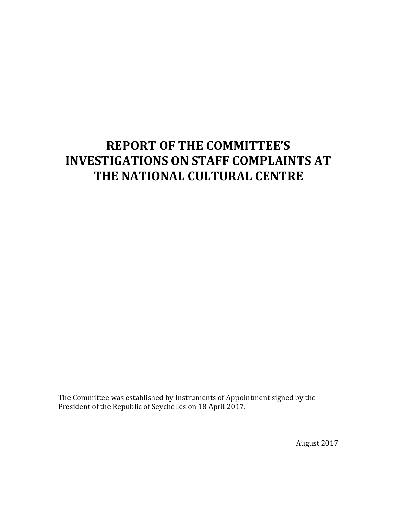# **REPORT OF THE COMMITTEE'S INVESTIGATIONS ON STAFF COMPLAINTS AT THE NATIONAL CULTURAL CENTRE**

The Committee was established by Instruments of Appointment signed by the President of the Republic of Seychelles on 18 April 2017.

August 2017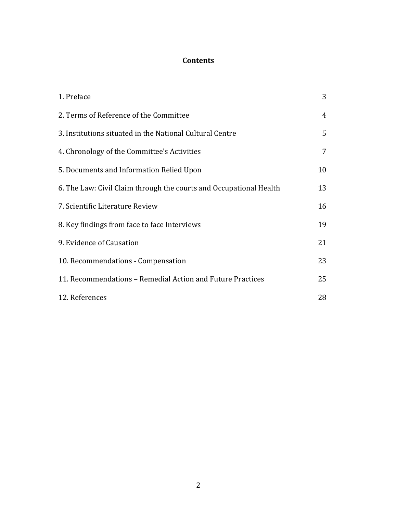# **Contents**

| 1. Preface                                                         | 3              |
|--------------------------------------------------------------------|----------------|
| 2. Terms of Reference of the Committee                             | $\overline{4}$ |
| 3. Institutions situated in the National Cultural Centre           | 5              |
| 4. Chronology of the Committee's Activities                        | 7              |
| 5. Documents and Information Relied Upon                           | 10             |
| 6. The Law: Civil Claim through the courts and Occupational Health | 13             |
| 7. Scientific Literature Review                                    | 16             |
| 8. Key findings from face to face Interviews                       | 19             |
| 9. Evidence of Causation                                           | 21             |
| 10. Recommendations - Compensation                                 | 23             |
| 11. Recommendations - Remedial Action and Future Practices         | 25             |
| 12. References                                                     | 28             |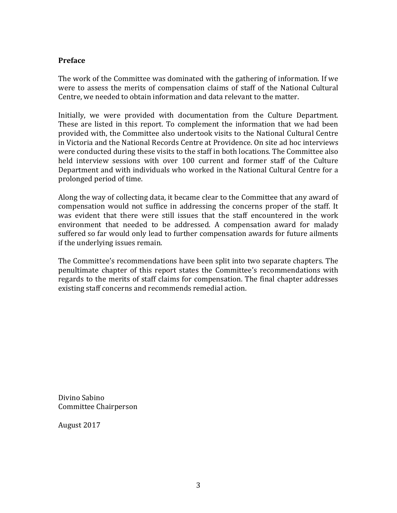# **Preface**

The work of the Committee was dominated with the gathering of information. If we were to assess the merits of compensation claims of staff of the National Cultural Centre, we needed to obtain information and data relevant to the matter.

Initially, we were provided with documentation from the Culture Department. These are listed in this report. To complement the information that we had been provided with, the Committee also undertook visits to the National Cultural Centre in Victoria and the National Records Centre at Providence. On site ad hoc interviews were conducted during these visits to the staff in both locations. The Committee also held interview sessions with over 100 current and former staff of the Culture Department and with individuals who worked in the National Cultural Centre for a prolonged period of time.

Along the way of collecting data, it became clear to the Committee that any award of compensation would not suffice in addressing the concerns proper of the staff. It was evident that there were still issues that the staff encountered in the work environment that needed to be addressed. A compensation award for malady suffered so far would only lead to further compensation awards for future ailments if the underlying issues remain.

The Committee's recommendations have been split into two separate chapters. The penultimate chapter of this report states the Committee's recommendations with regards to the merits of staff claims for compensation. The final chapter addresses existing staff concerns and recommends remedial action.

Divino Sabino Committee Chairperson

August 2017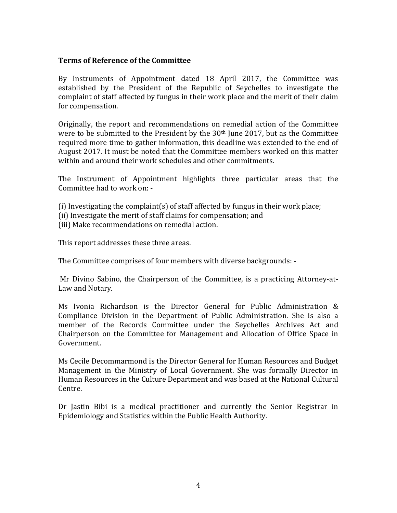### **Terms of Reference of the Committee**

By Instruments of Appointment dated 18 April 2017, the Committee was established by the President of the Republic of Seychelles to investigate the complaint of staff affected by fungus in their work place and the merit of their claim for compensation.

Originally, the report and recommendations on remedial action of the Committee were to be submitted to the President by the  $30<sup>th</sup>$  June 2017, but as the Committee required more time to gather information, this deadline was extended to the end of August 2017. It must be noted that the Committee members worked on this matter within and around their work schedules and other commitments.

The Instrument of Appointment highlights three particular areas that the Committee had to work on: -

- (i) Investigating the complaint(s) of staff affected by fungus in their work place;
- (ii) Investigate the merit of staff claims for compensation; and
- (iii) Make recommendations on remedial action.

This report addresses these three areas.

The Committee comprises of four members with diverse backgrounds: -

Mr Divino Sabino, the Chairperson of the Committee, is a practicing Attorney-at-Law and Notary.

Ms Ivonia Richardson is the Director General for Public Administration  $&$ Compliance Division in the Department of Public Administration. She is also a member of the Records Committee under the Sevchelles Archives Act and Chairperson on the Committee for Management and Allocation of Office Space in Government.

Ms Cecile Decommarmond is the Director General for Human Resources and Budget Management in the Ministry of Local Government. She was formally Director in Human Resources in the Culture Department and was based at the National Cultural Centre.

Dr Jastin Bibi is a medical practitioner and currently the Senior Registrar in Epidemiology and Statistics within the Public Health Authority.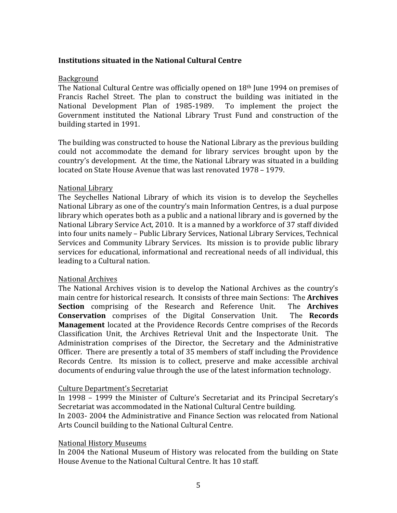# **Institutions situated in the National Cultural Centre**

#### Background

The National Cultural Centre was officially opened on  $18<sup>th</sup>$  June 1994 on premises of Francis Rachel Street. The plan to construct the building was initiated in the National Development Plan of 1985-1989. To implement the project the Government instituted the National Library Trust Fund and construction of the building started in 1991.

The building was constructed to house the National Library as the previous building could not accommodate the demand for library services brought upon by the country's development. At the time, the National Library was situated in a building located on State House Avenue that was last renovated 1978 – 1979.

#### National Library

The Seychelles National Library of which its vision is to develop the Seychelles National Library as one of the country's main Information Centres, is a dual purpose library which operates both as a public and a national library and is governed by the National Library Service Act, 2010. It is a manned by a workforce of 37 staff divided into four units namely - Public Library Services, National Library Services, Technical Services and Community Library Services. Its mission is to provide public library services for educational, informational and recreational needs of all individual, this leading to a Cultural nation.

# National Archives

The National Archives vision is to develop the National Archives as the country's main centre for historical research. It consists of three main Sections: The **Archives Section** comprising of the Research and Reference Unit. The **Archives Conservation** comprises of the Digital Conservation Unit. The **Records Management** located at the Providence Records Centre comprises of the Records Classification Unit, the Archives Retrieval Unit and the Inspectorate Unit. The Administration comprises of the Director, the Secretary and the Administrative Officer. There are presently a total of 35 members of staff including the Providence Records Centre. Its mission is to collect, preserve and make accessible archival documents of enduring value through the use of the latest information technology.

# Culture Department's Secretariat

In 1998 - 1999 the Minister of Culture's Secretariat and its Principal Secretary's Secretariat was accommodated in the National Cultural Centre building.

In 2003- 2004 the Administrative and Finance Section was relocated from National Arts Council building to the National Cultural Centre.

#### National History Museums

In 2004 the National Museum of History was relocated from the building on State House Avenue to the National Cultural Centre. It has 10 staff.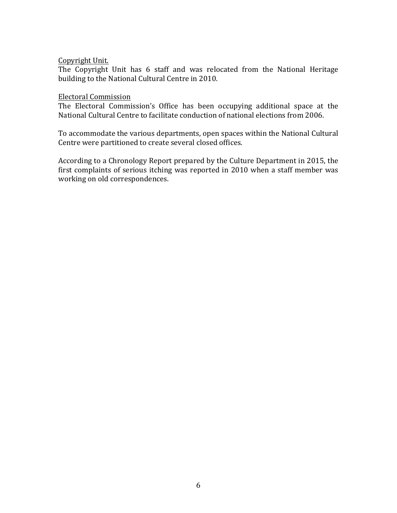#### Copyright Unit.

The Copyright Unit has 6 staff and was relocated from the National Heritage building to the National Cultural Centre in 2010.

#### Electoral Commission

The Electoral Commission's Office has been occupying additional space at the National Cultural Centre to facilitate conduction of national elections from 2006.

To accommodate the various departments, open spaces within the National Cultural Centre were partitioned to create several closed offices.

According to a Chronology Report prepared by the Culture Department in 2015, the first complaints of serious itching was reported in 2010 when a staff member was working on old correspondences.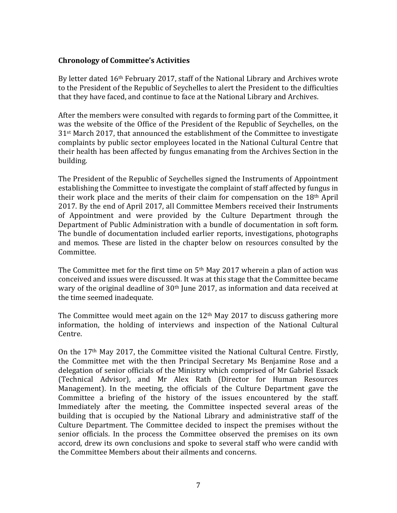# **Chronology of Committee's Activities**

By letter dated 16<sup>th</sup> February 2017, staff of the National Library and Archives wrote to the President of the Republic of Seychelles to alert the President to the difficulties that they have faced, and continue to face at the National Library and Archives.

After the members were consulted with regards to forming part of the Committee, it was the website of the Office of the President of the Republic of Seychelles, on the  $31<sup>st</sup>$  March 2017, that announced the establishment of the Committee to investigate complaints by public sector employees located in the National Cultural Centre that their health has been affected by fungus emanating from the Archives Section in the building.

The President of the Republic of Seychelles signed the Instruments of Appointment establishing the Committee to investigate the complaint of staff affected by fungus in their work place and the merits of their claim for compensation on the  $18<sup>th</sup>$  April 2017. By the end of April 2017, all Committee Members received their Instruments of Appointment and were provided by the Culture Department through the Department of Public Administration with a bundle of documentation in soft form. The bundle of documentation included earlier reports, investigations, photographs and memos. These are listed in the chapter below on resources consulted by the Committee.

The Committee met for the first time on  $5<sup>th</sup>$  May 2017 wherein a plan of action was conceived and issues were discussed. It was at this stage that the Committee became wary of the original deadline of  $30<sup>th</sup>$  June 2017, as information and data received at the time seemed inadequate.

The Committee would meet again on the  $12<sup>th</sup>$  May 2017 to discuss gathering more information, the holding of interviews and inspection of the National Cultural Centre.

On the  $17<sup>th</sup>$  May 2017, the Committee visited the National Cultural Centre. Firstly, the Committee met with the then Principal Secretary Ms Benjamine Rose and a delegation of senior officials of the Ministry which comprised of Mr Gabriel Essack (Technical Advisor), and Mr Alex Rath (Director for Human Resources Management). In the meeting, the officials of the Culture Department gave the Committee a briefing of the history of the issues encountered by the staff. Immediately after the meeting, the Committee inspected several areas of the building that is occupied by the National Library and administrative staff of the Culture Department. The Committee decided to inspect the premises without the senior officials. In the process the Committee observed the premises on its own accord, drew its own conclusions and spoke to several staff who were candid with the Committee Members about their ailments and concerns.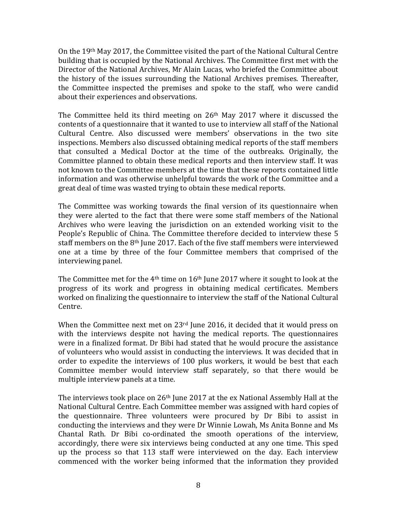On the  $19<sup>th</sup>$  May 2017, the Committee visited the part of the National Cultural Centre building that is occupied by the National Archives. The Committee first met with the Director of the National Archives, Mr Alain Lucas, who briefed the Committee about the history of the issues surrounding the National Archives premises. Thereafter, the Committee inspected the premises and spoke to the staff, who were candid about their experiences and observations.

The Committee held its third meeting on  $26<sup>th</sup>$  May 2017 where it discussed the contents of a questionnaire that it wanted to use to interview all staff of the National Cultural Centre. Also discussed were members' observations in the two site inspections. Members also discussed obtaining medical reports of the staff members that consulted a Medical Doctor at the time of the outbreaks. Originally, the Committee planned to obtain these medical reports and then interview staff. It was not known to the Committee members at the time that these reports contained little information and was otherwise unhelpful towards the work of the Committee and a great deal of time was wasted trying to obtain these medical reports.

The Committee was working towards the final version of its questionnaire when they were alerted to the fact that there were some staff members of the National Archives who were leaving the jurisdiction on an extended working visit to the People's Republic of China. The Committee therefore decided to interview these 5 staff members on the  $8<sup>th</sup>$  June 2017. Each of the five staff members were interviewed one at a time by three of the four Committee members that comprised of the interviewing panel.

The Committee met for the  $4<sup>th</sup>$  time on  $16<sup>th</sup>$  June 2017 where it sought to look at the progress of its work and progress in obtaining medical certificates. Members worked on finalizing the questionnaire to interview the staff of the National Cultural Centre.

When the Committee next met on  $23<sup>rd</sup>$  June 2016, it decided that it would press on with the interviews despite not having the medical reports. The questionnaires were in a finalized format. Dr Bibi had stated that he would procure the assistance of volunteers who would assist in conducting the interviews. It was decided that in order to expedite the interviews of 100 plus workers, it would be best that each Committee member would interview staff separately, so that there would be multiple interview panels at a time.

The interviews took place on  $26<sup>th</sup>$  June 2017 at the ex National Assembly Hall at the National Cultural Centre. Each Committee member was assigned with hard copies of the questionnaire. Three volunteers were procured by Dr Bibi to assist in conducting the interviews and they were Dr Winnie Lowah, Ms Anita Bonne and Ms Chantal Rath. Dr Bibi co-ordinated the smooth operations of the interview, accordingly, there were six interviews being conducted at any one time. This sped up the process so that 113 staff were interviewed on the day. Each interview commenced with the worker being informed that the information they provided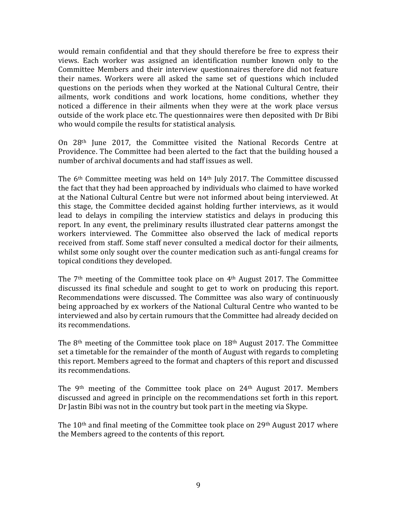would remain confidential and that they should therefore be free to express their views. Each worker was assigned an identification number known only to the Committee Members and their interview questionnaires therefore did not feature their names. Workers were all asked the same set of questions which included questions on the periods when they worked at the National Cultural Centre, their ailments, work conditions and work locations, home conditions, whether they noticed a difference in their ailments when they were at the work place versus outside of the work place etc. The questionnaires were then deposited with Dr Bibi who would compile the results for statistical analysis.

On 28<sup>th</sup> June 2017, the Committee visited the National Records Centre at Providence. The Committee had been alerted to the fact that the building housed a number of archival documents and had staff issues as well.

The  $6<sup>th</sup>$  Committee meeting was held on  $14<sup>th</sup>$  July 2017. The Committee discussed the fact that they had been approached by individuals who claimed to have worked at the National Cultural Centre but were not informed about being interviewed. At this stage, the Committee decided against holding further interviews, as it would lead to delays in compiling the interview statistics and delays in producing this report. In any event, the preliminary results illustrated clear patterns amongst the workers interviewed. The Committee also observed the lack of medical reports received from staff. Some staff never consulted a medical doctor for their ailments, whilst some only sought over the counter medication such as anti-fungal creams for topical conditions they developed.

The  $7<sup>th</sup>$  meeting of the Committee took place on  $4<sup>th</sup>$  August 2017. The Committee discussed its final schedule and sought to get to work on producing this report. Recommendations were discussed. The Committee was also wary of continuously being approached by ex workers of the National Cultural Centre who wanted to be interviewed and also by certain rumours that the Committee had already decided on its recommendations.

The  $8<sup>th</sup>$  meeting of the Committee took place on  $18<sup>th</sup>$  August 2017. The Committee set a timetable for the remainder of the month of August with regards to completing this report. Members agreed to the format and chapters of this report and discussed its recommendations.

The  $9<sup>th</sup>$  meeting of the Committee took place on 24<sup>th</sup> August 2017. Members discussed and agreed in principle on the recommendations set forth in this report. Dr Jastin Bibi was not in the country but took part in the meeting via Skype.

The  $10<sup>th</sup>$  and final meeting of the Committee took place on  $29<sup>th</sup>$  August  $2017$  where the Members agreed to the contents of this report.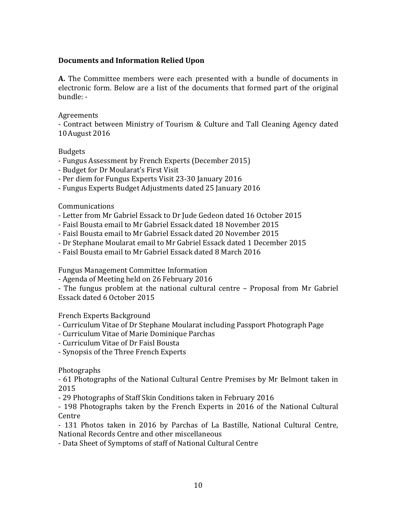# **Documents and Information Relied Upon**

**A.** The Committee members were each presented with a bundle of documents in electronic form. Below are a list of the documents that formed part of the original bundle: -

# Agreements

- Contract between Ministry of Tourism & Culture and Tall Cleaning Agency dated 10August 2016

# Budgets

- Fungus Assessment by French Experts (December 2015)
- Budget for Dr Moularat's First Visit
- Per diem for Fungus Experts Visit 23-30 January 2016
- Fungus Experts Budget Adjustments dated 25 January 2016

# Communications

- Letter from Mr Gabriel Essack to Dr Jude Gedeon dated 16 October 2015
- Faisl Bousta email to Mr Gabriel Essack dated 18 November 2015
- Faisl Bousta email to Mr Gabriel Essack dated 20 November 2015
- Dr Stephane Moularat email to Mr Gabriel Essack dated 1 December 2015
- Faisl Bousta email to Mr Gabriel Essack dated 8 March 2016

Fungus Management Committee Information

- Agenda of Meeting held on 26 February 2016

- The fungus problem at the national cultural centre – Proposal from Mr Gabriel Essack dated 6 October 2015

French Experts Background

- Curriculum Vitae of Dr Stephane Moularat including Passport Photograph Page
- Curriculum Vitae of Marie Dominique Parchas
- Curriculum Vitae of Dr Faisl Bousta
- Synopsis of the Three French Experts

Photographs

- 61 Photographs of the National Cultural Centre Premises by Mr Belmont taken in 2015 

- 29 Photographs of Staff Skin Conditions taken in February 2016

- 198 Photographs taken by the French Experts in 2016 of the National Cultural **Centre** 

- 131 Photos taken in 2016 by Parchas of La Bastille, National Cultural Centre, National Records Centre and other miscellaneous

- Data Sheet of Symptoms of staff of National Cultural Centre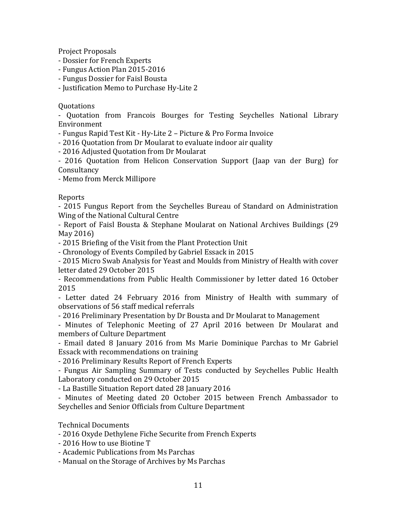Project Proposals

- Dossier for French Experts
- Fungus Action Plan 2015-2016
- Fungus Dossier for Faisl Bousta

- Justification Memo to Purchase Hy-Lite 2

# Quotations

- Quotation from Francois Bourges for Testing Seychelles National Library Environment

- Fungus Rapid Test Kit - Hy-Lite 2 – Picture & Pro Forma Invoice

- 2016 Quotation from Dr Moularat to evaluate indoor air quality

- 2016 Adjusted Ouotation from Dr Moularat

- 2016 Quotation from Helicon Conservation Support (Jaap van der Burg) for **Consultancy** 

- Memo from Merck Millipore

# Reports

- 2015 Fungus Report from the Seychelles Bureau of Standard on Administration Wing of the National Cultural Centre

- Report of Faisl Bousta & Stephane Moularat on National Archives Buildings (29) May 2016)

- 2015 Briefing of the Visit from the Plant Protection Unit

- Chronology of Events Compiled by Gabriel Essack in 2015

- 2015 Micro Swab Analysis for Yeast and Moulds from Ministry of Health with cover letter dated 29 October 2015

- Recommendations from Public Health Commissioner by letter dated 16 October 2015

- Letter dated 24 February 2016 from Ministry of Health with summary of observations of 56 staff medical referrals

- 2016 Preliminary Presentation by Dr Bousta and Dr Moularat to Management

- Minutes of Telephonic Meeting of 27 April 2016 between Dr Moularat and members of Culture Department

- Email dated 8 January 2016 from Ms Marie Dominique Parchas to Mr Gabriel Essack with recommendations on training

- 2016 Preliminary Results Report of French Experts

- Fungus Air Sampling Summary of Tests conducted by Seychelles Public Health Laboratory conducted on 29 October 2015

- La Bastille Situation Report dated 28 January 2016

- Minutes of Meeting dated 20 October 2015 between French Ambassador to Seychelles and Senior Officials from Culture Department

# Technical Documents

- 2016 Oxyde Dethylene Fiche Securite from French Experts

- 2016 How to use Biotine T

- Academic Publications from Ms Parchas

- Manual on the Storage of Archives by Ms Parchas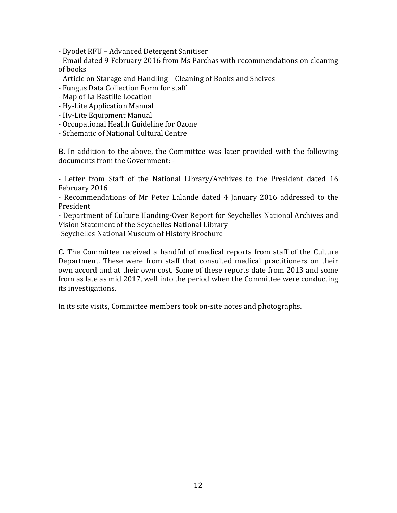- Byodet RFU – Advanced Detergent Sanitiser

- Email dated 9 February 2016 from Ms Parchas with recommendations on cleaning of books

- Article on Starage and Handling Cleaning of Books and Shelves
- Fungus Data Collection Form for staff
- Map of La Bastille Location
- Hy-Lite Application Manual
- Hy-Lite Equipment Manual
- Occupational Health Guideline for Ozone
- Schematic of National Cultural Centre

**B.** In addition to the above, the Committee was later provided with the following documents from the Government: -

- Letter from Staff of the National Library/Archives to the President dated 16 February 2016

- Recommendations of Mr Peter Lalande dated 4 January 2016 addressed to the President

- Department of Culture Handing-Over Report for Seychelles National Archives and Vision Statement of the Seychelles National Library

-Seychelles National Museum of History Brochure

**C.** The Committee received a handful of medical reports from staff of the Culture Department. These were from staff that consulted medical practitioners on their own accord and at their own cost. Some of these reports date from 2013 and some from as late as mid 2017, well into the period when the Committee were conducting its investigations.

In its site visits, Committee members took on-site notes and photographs.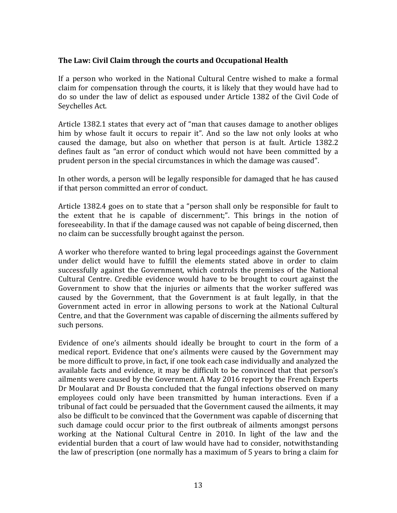### The Law: Civil Claim through the courts and Occupational Health

If a person who worked in the National Cultural Centre wished to make a formal claim for compensation through the courts, it is likely that they would have had to do so under the law of delict as espoused under Article 1382 of the Civil Code of Seychelles Act.

Article 1382.1 states that every act of "man that causes damage to another obliges him by whose fault it occurs to repair it". And so the law not only looks at who caused the damage, but also on whether that person is at fault. Article 1382.2 defines fault as "an error of conduct which would not have been committed by a prudent person in the special circumstances in which the damage was caused".

In other words, a person will be legally responsible for damaged that he has caused if that person committed an error of conduct.

Article 1382.4 goes on to state that a "person shall only be responsible for fault to the extent that he is capable of discernment;". This brings in the notion of foreseeability. In that if the damage caused was not capable of being discerned, then no claim can be successfully brought against the person.

A worker who therefore wanted to bring legal proceedings against the Government under delict would have to fulfill the elements stated above in order to claim successfully against the Government, which controls the premises of the National Cultural Centre. Credible evidence would have to be brought to court against the Government to show that the injuries or ailments that the worker suffered was caused by the Government, that the Government is at fault legally, in that the Government acted in error in allowing persons to work at the National Cultural Centre, and that the Government was capable of discerning the ailments suffered by such persons.

Evidence of one's ailments should ideally be brought to court in the form of a medical report. Evidence that one's ailments were caused by the Government may be more difficult to prove, in fact, if one took each case individually and analyzed the available facts and evidence, it may be difficult to be convinced that that person's ailments were caused by the Government. A May 2016 report by the French Experts Dr Moularat and Dr Bousta concluded that the fungal infections observed on many employees could only have been transmitted by human interactions. Even if a tribunal of fact could be persuaded that the Government caused the ailments, it may also be difficult to be convinced that the Government was capable of discerning that such damage could occur prior to the first outbreak of ailments amongst persons working at the National Cultural Centre in 2010. In light of the law and the evidential burden that a court of law would have had to consider, notwithstanding the law of prescription (one normally has a maximum of 5 years to bring a claim for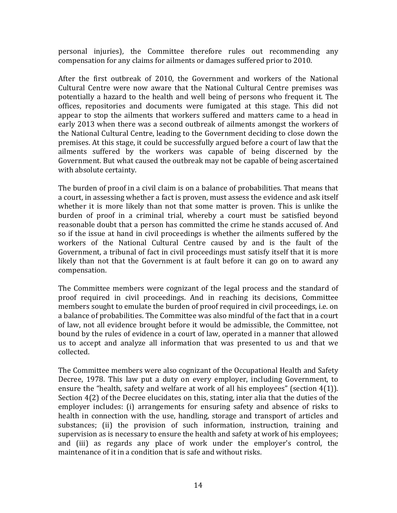personal injuries), the Committee therefore rules out recommending any compensation for any claims for ailments or damages suffered prior to 2010.

After the first outbreak of 2010, the Government and workers of the National Cultural Centre were now aware that the National Cultural Centre premises was potentially a hazard to the health and well being of persons who frequent it. The offices, repositories and documents were fumigated at this stage. This did not appear to stop the ailments that workers suffered and matters came to a head in early 2013 when there was a second outbreak of ailments amongst the workers of the National Cultural Centre, leading to the Government deciding to close down the premises. At this stage, it could be successfully argued before a court of law that the ailments suffered by the workers was capable of being discerned by the Government. But what caused the outbreak may not be capable of being ascertained with absolute certainty.

The burden of proof in a civil claim is on a balance of probabilities. That means that a court, in assessing whether a fact is proven, must assess the evidence and ask itself whether it is more likely than not that some matter is proven. This is unlike the burden of proof in a criminal trial, whereby a court must be satisfied beyond reasonable doubt that a person has committed the crime he stands accused of. And so if the issue at hand in civil proceedings is whether the ailments suffered by the workers of the National Cultural Centre caused by and is the fault of the Government, a tribunal of fact in civil proceedings must satisfy itself that it is more likely than not that the Government is at fault before it can go on to award any compensation.

The Committee members were cognizant of the legal process and the standard of proof required in civil proceedings. And in reaching its decisions, Committee members sought to emulate the burden of proof required in civil proceedings, i.e. on a balance of probabilities. The Committee was also mindful of the fact that in a court of law, not all evidence brought before it would be admissible, the Committee, not bound by the rules of evidence in a court of law, operated in a manner that allowed us to accept and analyze all information that was presented to us and that we collected.

The Committee members were also cognizant of the Occupational Health and Safety Decree, 1978. This law put a duty on every employer, including Government, to ensure the "health, safety and welfare at work of all his employees" (section  $4(1)$ ). Section  $4(2)$  of the Decree elucidates on this, stating, inter alia that the duties of the employer includes: (i) arrangements for ensuring safety and absence of risks to health in connection with the use, handling, storage and transport of articles and substances; (ii) the provision of such information, instruction, training and supervision as is necessary to ensure the health and safety at work of his employees; and (iii) as regards any place of work under the employer's control, the maintenance of it in a condition that is safe and without risks.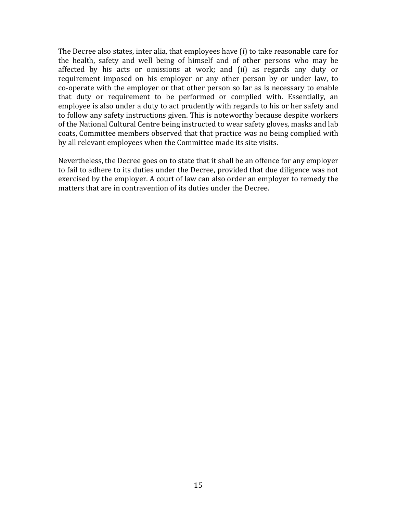The Decree also states, inter alia, that employees have  $(i)$  to take reasonable care for the health, safety and well being of himself and of other persons who may be affected by his acts or omissions at work; and (ii) as regards any duty or requirement imposed on his employer or any other person by or under law, to co-operate with the employer or that other person so far as is necessary to enable that duty or requirement to be performed or complied with. Essentially, an employee is also under a duty to act prudently with regards to his or her safety and to follow any safety instructions given. This is noteworthy because despite workers of the National Cultural Centre being instructed to wear safety gloves, masks and lab coats, Committee members observed that that practice was no being complied with by all relevant employees when the Committee made its site visits.

Nevertheless, the Decree goes on to state that it shall be an offence for any employer to fail to adhere to its duties under the Decree, provided that due diligence was not exercised by the employer. A court of law can also order an employer to remedy the matters that are in contravention of its duties under the Decree.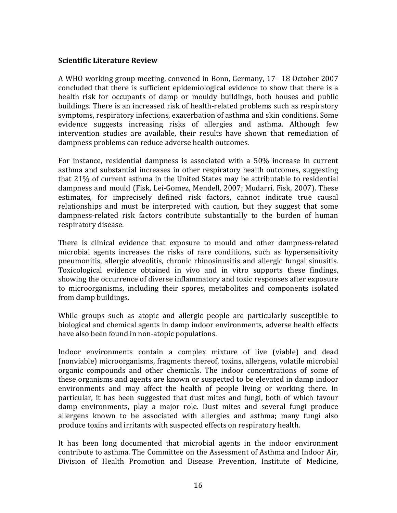# **Scientific Literature Review**

A WHO working group meeting, convened in Bonn, Germany, 17– 18 October 2007 concluded that there is sufficient epidemiological evidence to show that there is a health risk for occupants of damp or mouldy buildings, both houses and public buildings. There is an increased risk of health-related problems such as respiratory symptoms, respiratory infections, exacerbation of asthma and skin conditions. Some evidence suggests increasing risks of allergies and asthma. Although few intervention studies are available, their results have shown that remediation of dampness problems can reduce adverse health outcomes.

For instance, residential dampness is associated with a  $50\%$  increase in current asthma and substantial increases in other respiratory health outcomes, suggesting that  $21\%$  of current asthma in the United States may be attributable to residential dampness and mould (Fisk, Lei-Gomez, Mendell, 2007; Mudarri, Fisk, 2007). These estimates, for imprecisely defined risk factors, cannot indicate true causal relationships and must be interpreted with caution, but they suggest that some dampness-related risk factors contribute substantially to the burden of human respiratory disease.

There is clinical evidence that exposure to mould and other dampness-related microbial agents increases the risks of rare conditions, such as hypersensitivity pneumonitis, allergic alveolitis, chronic rhinosinusitis and allergic fungal sinusitis. Toxicological evidence obtained in vivo and in vitro supports these findings, showing the occurrence of diverse inflammatory and toxic responses after exposure to microorganisms, including their spores, metabolites and components isolated from damp buildings.

While groups such as atopic and allergic people are particularly susceptible to biological and chemical agents in damp indoor environments, adverse health effects have also been found in non-atopic populations.

Indoor environments contain a complex mixture of live (viable) and dead (nonviable) microorganisms, fragments thereof, toxins, allergens, volatile microbial organic compounds and other chemicals. The indoor concentrations of some of these organisms and agents are known or suspected to be elevated in damp indoor environments and may affect the health of people living or working there. In particular, it has been suggested that dust mites and fungi, both of which favour damp environments, play a major role. Dust mites and several fungi produce allergens known to be associated with allergies and asthma; many fungi also produce toxins and irritants with suspected effects on respiratory health.

It has been long documented that microbial agents in the indoor environment contribute to asthma. The Committee on the Assessment of Asthma and Indoor Air, Division of Health Promotion and Disease Prevention, Institute of Medicine,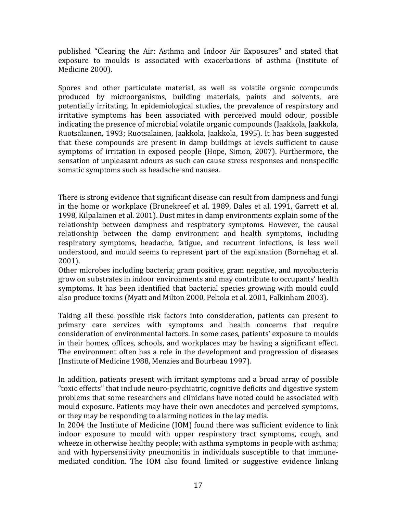published "Clearing the Air: Asthma and Indoor Air Exposures" and stated that exposure to moulds is associated with exacerbations of asthma (Institute of Medicine 2000).

Spores and other particulate material, as well as volatile organic compounds produced by microorganisms, building materials, paints and solvents, are potentially irritating. In epidemiological studies, the prevalence of respiratory and irritative symptoms has been associated with perceived mould odour, possible indicating the presence of microbial volatile organic compounds (Jaakkola, Jaakkola, Ruotsalainen, 1993; Ruotsalainen, Jaakkola, Jaakkola, 1995). It has been suggested that these compounds are present in damp buildings at levels sufficient to cause symptoms of irritation in exposed people (Hope, Simon, 2007). Furthermore, the sensation of unpleasant odours as such can cause stress responses and nonspecific somatic symptoms such as headache and nausea.

There is strong evidence that significant disease can result from dampness and fungi in the home or workplace (Brunekreef et al. 1989, Dales et al. 1991, Garrett et al. 1998, Kilpalainen et al. 2001). Dust mites in damp environments explain some of the relationship between dampness and respiratory symptoms. However, the causal relationship between the damp environment and health symptoms, including respiratory symptoms, headache, fatigue, and recurrent infections, is less well understood, and mould seems to represent part of the explanation (Bornehag et al. 2001).

Other microbes including bacteria; gram positive, gram negative, and mycobacteria grow on substrates in indoor environments and may contribute to occupants' health symptoms. It has been identified that bacterial species growing with mould could also produce toxins (Myatt and Milton 2000, Peltola et al. 2001, Falkinham 2003).

Taking all these possible risk factors into consideration, patients can present to primary care services with symptoms and health concerns that require consideration of environmental factors. In some cases, patients' exposure to moulds in their homes, offices, schools, and workplaces may be having a significant effect. The environment often has a role in the development and progression of diseases (Institute of Medicine 1988, Menzies and Bourbeau 1997).

In addition, patients present with irritant symptoms and a broad array of possible "toxic effects" that include neuro-psychiatric, cognitive deficits and digestive system problems that some researchers and clinicians have noted could be associated with mould exposure. Patients may have their own anecdotes and perceived symptoms, or they may be responding to alarming notices in the lay media.

In 2004 the Institute of Medicine (IOM) found there was sufficient evidence to link indoor exposure to mould with upper respiratory tract symptoms, cough, and wheeze in otherwise healthy people; with asthma symptoms in people with asthma; and with hypersensitivity pneumonitis in individuals susceptible to that immunemediated condition. The IOM also found limited or suggestive evidence linking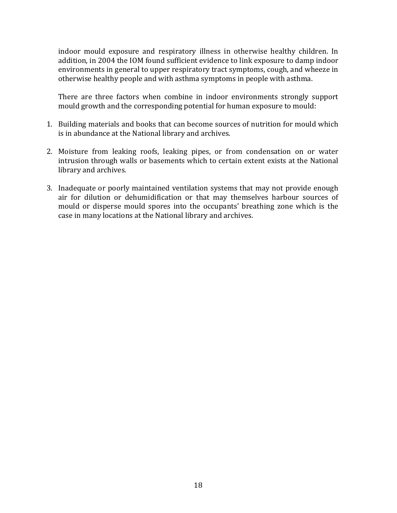indoor mould exposure and respiratory illness in otherwise healthy children. In addition, in 2004 the IOM found sufficient evidence to link exposure to damp indoor environments in general to upper respiratory tract symptoms, cough, and wheeze in otherwise healthy people and with asthma symptoms in people with asthma.

There are three factors when combine in indoor environments strongly support mould growth and the corresponding potential for human exposure to mould:

- 1. Building materials and books that can become sources of nutrition for mould which is in abundance at the National library and archives.
- 2. Moisture from leaking roofs, leaking pipes, or from condensation on or water intrusion through walls or basements which to certain extent exists at the National library and archives.
- 3. Inadequate or poorly maintained ventilation systems that may not provide enough air for dilution or dehumidification or that may themselves harbour sources of mould or disperse mould spores into the occupants' breathing zone which is the case in many locations at the National library and archives.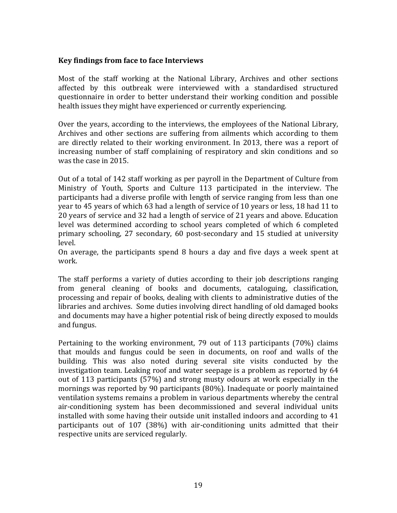### **Key findings from face to face Interviews**

Most of the staff working at the National Library, Archives and other sections affected by this outbreak were interviewed with a standardised structured questionnaire in order to better understand their working condition and possible health issues they might have experienced or currently experiencing.

Over the years, according to the interviews, the employees of the National Library, Archives and other sections are suffering from ailments which according to them are directly related to their working environment. In 2013, there was a report of increasing number of staff complaining of respiratory and skin conditions and so was the case in 2015.

Out of a total of 142 staff working as per payroll in the Department of Culture from Ministry of Youth, Sports and Culture 113 participated in the interview. The participants had a diverse profile with length of service ranging from less than one year to 45 years of which 63 had a length of service of 10 years or less, 18 had 11 to 20 years of service and 32 had a length of service of 21 years and above. Education level was determined according to school years completed of which 6 completed primary schooling, 27 secondary, 60 post-secondary and 15 studied at university level.

On average, the participants spend 8 hours a day and five days a week spent at work.

The staff performs a variety of duties according to their job descriptions ranging from general cleaning of books and documents, cataloguing, classification, processing and repair of books, dealing with clients to administrative duties of the libraries and archives. Some duties involving direct handling of old damaged books and documents may have a higher potential risk of being directly exposed to moulds and fungus.

Pertaining to the working environment,  $79$  out of 113 participants  $(70\%)$  claims that moulds and fungus could be seen in documents, on roof and walls of the building. This was also noted during several site visits conducted by the investigation team. Leaking roof and water seepage is a problem as reported by 64 out of 113 participants (57%) and strong musty odours at work especially in the mornings was reported by 90 participants  $(80%)$ . Inadequate or poorly maintained ventilation systems remains a problem in various departments whereby the central air-conditioning system has been decommissioned and several individual units installed with some having their outside unit installed indoors and according to 41 participants out of 107 (38%) with air-conditioning units admitted that their respective units are serviced regularly.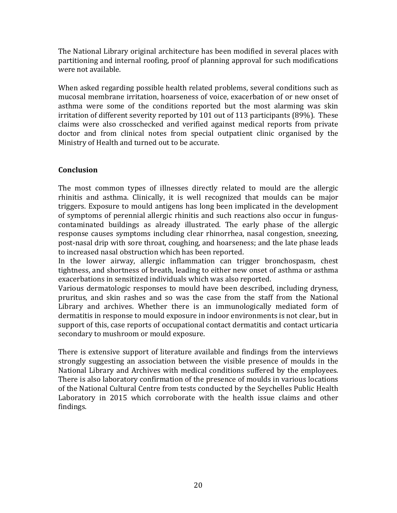The National Library original architecture has been modified in several places with partitioning and internal roofing, proof of planning approval for such modifications were not available.

When asked regarding possible health related problems, several conditions such as mucosal membrane irritation, hoarseness of voice, exacerbation of or new onset of asthma were some of the conditions reported but the most alarming was skin irritation of different severity reported by 101 out of 113 participants (89%). These claims were also crosschecked and verified against medical reports from private doctor and from clinical notes from special outpatient clinic organised by the Ministry of Health and turned out to be accurate.

# **Conclusion**

The most common types of illnesses directly related to mould are the allergic rhinitis and asthma. Clinically, it is well recognized that moulds can be major triggers. Exposure to mould antigens has long been implicated in the development of symptoms of perennial allergic rhinitis and such reactions also occur in funguscontaminated buildings as already illustrated. The early phase of the allergic response causes symptoms including clear rhinorrhea, nasal congestion, sneezing, post-nasal drip with sore throat, coughing, and hoarseness; and the late phase leads to increased nasal obstruction which has been reported.

In the lower airway, allergic inflammation can trigger bronchospasm, chest tightness, and shortness of breath, leading to either new onset of asthma or asthma exacerbations in sensitized individuals which was also reported.

Various dermatologic responses to mould have been described, including dryness, pruritus, and skin rashes and so was the case from the staff from the National Library and archives. Whether there is an immunologically mediated form of dermatitis in response to mould exposure in indoor environments is not clear, but in support of this, case reports of occupational contact dermatitis and contact urticaria secondary to mushroom or mould exposure.

There is extensive support of literature available and findings from the interviews strongly suggesting an association between the visible presence of moulds in the National Library and Archives with medical conditions suffered by the employees. There is also laboratory confirmation of the presence of moulds in various locations of the National Cultural Centre from tests conducted by the Seychelles Public Health Laboratory in 2015 which corroborate with the health issue claims and other findings.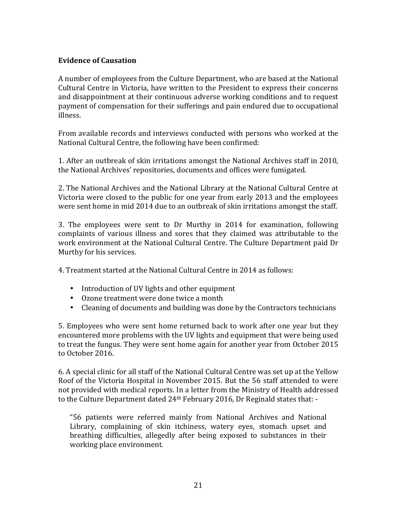# **Evidence of Causation**

A number of employees from the Culture Department, who are based at the National Cultural Centre in Victoria, have written to the President to express their concerns and disappointment at their continuous adverse working conditions and to request payment of compensation for their sufferings and pain endured due to occupational illness.

From available records and interviews conducted with persons who worked at the National Cultural Centre, the following have been confirmed:

1. After an outbreak of skin irritations amongst the National Archives staff in 2010, the National Archives' repositories, documents and offices were fumigated.

2. The National Archives and the National Library at the National Cultural Centre at Victoria were closed to the public for one year from early 2013 and the employees were sent home in mid 2014 due to an outbreak of skin irritations amongst the staff.

3. The employees were sent to Dr Murthy in 2014 for examination, following complaints of various illness and sores that they claimed was attributable to the work environment at the National Cultural Centre. The Culture Department paid Dr Murthy for his services.

4. Treatment started at the National Cultural Centre in 2014 as follows:

- Introduction of UV lights and other equipment
- Ozone treatment were done twice a month
- Cleaning of documents and building was done by the Contractors technicians

5. Employees who were sent home returned back to work after one year but they encountered more problems with the UV lights and equipment that were being used to treat the fungus. They were sent home again for another year from October 2015 to October 2016.

6. A special clinic for all staff of the National Cultural Centre was set up at the Yellow Roof of the Victoria Hospital in November 2015. But the 56 staff attended to were not provided with medical reports. In a letter from the Ministry of Health addressed to the Culture Department dated  $24<sup>th</sup>$  February 2016, Dr Reginald states that: -

"56 patients were referred mainly from National Archives and National Library, complaining of skin itchiness, watery eyes, stomach upset and breathing difficulties, allegedly after being exposed to substances in their working place environment.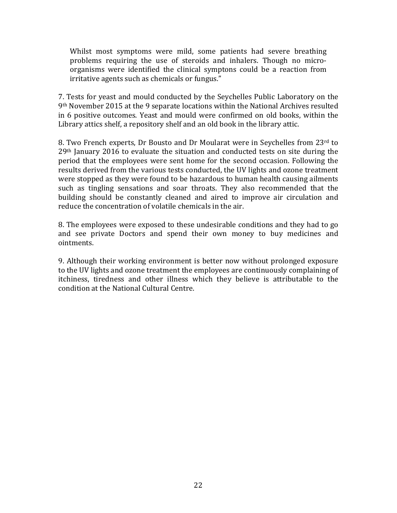Whilst most symptoms were mild, some patients had severe breathing problems requiring the use of steroids and inhalers. Though no microorganisms were identified the clinical symptons could be a reaction from irritative agents such as chemicals or fungus."

7. Tests for yeast and mould conducted by the Seychelles Public Laboratory on the  $9<sup>th</sup>$  November 2015 at the 9 separate locations within the National Archives resulted in 6 positive outcomes. Yeast and mould were confirmed on old books, within the Library attics shelf, a repository shelf and an old book in the library attic.

8. Two French experts, Dr Bousto and Dr Moularat were in Seychelles from 23rd to  $29<sup>th</sup>$  January 2016 to evaluate the situation and conducted tests on site during the period that the employees were sent home for the second occasion. Following the results derived from the various tests conducted, the UV lights and ozone treatment were stopped as they were found to be hazardous to human health causing ailments such as tingling sensations and soar throats. They also recommended that the building should be constantly cleaned and aired to improve air circulation and reduce the concentration of volatile chemicals in the air.

8. The employees were exposed to these undesirable conditions and they had to go and see private Doctors and spend their own money to buy medicines and ointments. 

9. Although their working environment is better now without prolonged exposure to the UV lights and ozone treatment the employees are continuously complaining of itchiness, tiredness and other illness which they believe is attributable to the condition at the National Cultural Centre.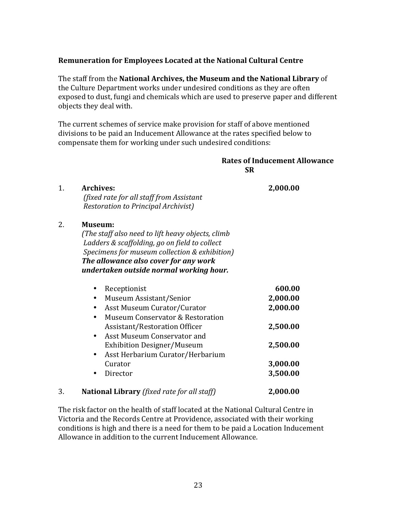# **Remuneration for Employees Located at the National Cultural Centre**

The staff from the **National Archives, the Museum and the National Library** of the Culture Department works under undesired conditions as they are often exposed to dust, fungi and chemicals which are used to preserve paper and different objects they deal with.

The current schemes of service make provision for staff of above mentioned divisions to be paid an Inducement Allowance at the rates specified below to compensate them for working under such undesired conditions:

## **Rates of Inducement Allowance SR**

| 1. | <b>Archives:</b><br>(fixed rate for all staff from Assistant<br><b>Restoration to Principal Archivist)</b>                                                                                                                                         | 2,000.00 |
|----|----------------------------------------------------------------------------------------------------------------------------------------------------------------------------------------------------------------------------------------------------|----------|
| 2. | Museum:<br>(The staff also need to lift heavy objects, climb<br>Ladders & scaffolding, go on field to collect<br>Specimens for museum collection & exhibition)<br>The allowance also cover for any work<br>undertaken outside normal working hour. |          |
|    | Receptionist                                                                                                                                                                                                                                       | 600.00   |
|    | Museum Assistant/Senior<br>$\bullet$                                                                                                                                                                                                               | 2,000.00 |
|    | Asst Museum Curator/Curator<br>٠                                                                                                                                                                                                                   | 2,000.00 |
|    | Museum Conservator & Restoration<br>٠<br>Assistant/Restoration Officer<br>Asst Museum Conservator and<br>$\bullet$                                                                                                                                 | 2,500.00 |
|    | <b>Exhibition Designer/Museum</b><br>Asst Herbarium Curator/Herbarium<br>$\bullet$                                                                                                                                                                 | 2,500.00 |
|    | Curator                                                                                                                                                                                                                                            | 3,000.00 |
|    | Director                                                                                                                                                                                                                                           | 3,500.00 |
| 3. | <b>National Library</b> (fixed rate for all staff)                                                                                                                                                                                                 | 2,000.00 |

The risk factor on the health of staff located at the National Cultural Centre in Victoria and the Records Centre at Providence, associated with their working conditions is high and there is a need for them to be paid a Location Inducement Allowance in addition to the current Inducement Allowance.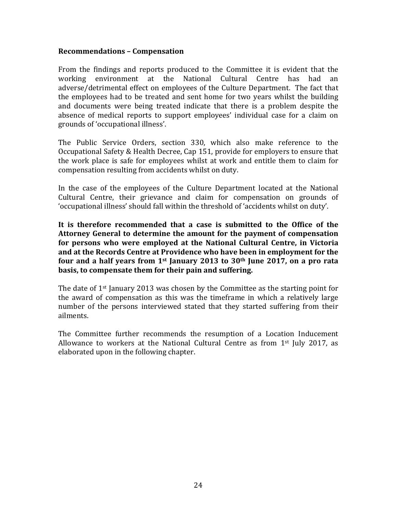#### **Recommendations – Compensation**

From the findings and reports produced to the Committee it is evident that the working environment at the National Cultural Centre has had an adverse/detrimental effect on employees of the Culture Department. The fact that the employees had to be treated and sent home for two years whilst the building and documents were being treated indicate that there is a problem despite the absence of medical reports to support employees' individual case for a claim on grounds of 'occupational illness'.

The Public Service Orders, section 330, which also make reference to the Occupational Safety & Health Decree, Cap 151, provide for employers to ensure that the work place is safe for employees whilst at work and entitle them to claim for compensation resulting from accidents whilst on duty.

In the case of the employees of the Culture Department located at the National Cultural Centre, their grievance and claim for compensation on grounds of 'occupational illness' should fall within the threshold of 'accidents whilst on duty'.

It is therefore recommended that a case is submitted to the Office of the Attorney General to determine the amount for the payment of compensation for persons who were employed at the National Cultural Centre, in Victoria and at the Records Centre at Providence who have been in employment for the **four and a half vears from 1st January 2013 to 30<sup>th</sup> June 2017, on a pro rata basis, to compensate them for their pain and suffering.** 

The date of  $1<sup>st</sup>$  January 2013 was chosen by the Committee as the starting point for the award of compensation as this was the timeframe in which a relatively large number of the persons interviewed stated that they started suffering from their ailments.

The Committee further recommends the resumption of a Location Inducement Allowance to workers at the National Cultural Centre as from  $1<sup>st</sup>$  July 2017, as elaborated upon in the following chapter.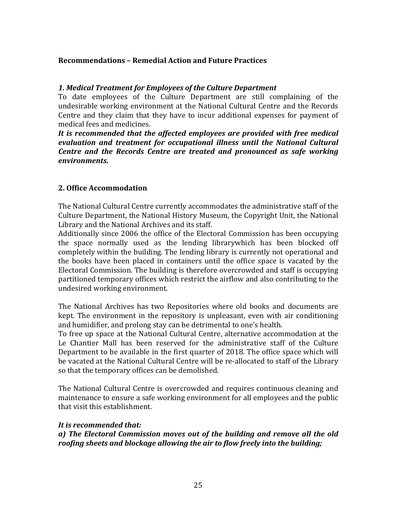# **Recommendations – Remedial Action and Future Practices**

# *1. Medical Treatment for Employees of the Culture Department*

To date employees of the Culture Department are still complaining of the undesirable working environment at the National Cultural Centre and the Records Centre and they claim that they have to incur additional expenses for payment of medical fees and medicines.

It is recommended that the affected employees are provided with free medical evaluation and *treatment for occupational illness until the National Cultural Centre and the Records Centre are treated and pronounced as safe working environments.*

# **2. Office Accommodation**

The National Cultural Centre currently accommodates the administrative staff of the Culture Department, the National History Museum, the Copyright Unit, the National Library and the National Archives and its staff.

Additionally since 2006 the office of the Electoral Commission has been occupying the space normally used as the lending librarywhich has been blocked off completely within the building. The lending library is currently not operational and the books have been placed in containers until the office space is vacated by the Electoral Commission. The building is therefore overcrowded and staff is occupying partitioned temporary offices which restrict the airflow and also contributing to the undesired working environment.

The National Archives has two Repositories where old books and documents are kept. The environment in the repository is unpleasant, even with air conditioning and humidifier, and prolong stay can be detrimental to one's health.

To free up space at the National Cultural Centre, alternative accommodation at the Le Chantier Mall has been reserved for the administrative staff of the Culture Department to be available in the first quarter of 2018. The office space which will be vacated at the National Cultural Centre will be re-allocated to staff of the Library so that the temporary offices can be demolished.

The National Cultural Centre is overcrowded and requires continuous cleaning and maintenance to ensure a safe working environment for all employees and the public that visit this establishment.

# It is recommended that:

a) The Electoral Commission moves out of the building and remove all the old *roofing sheets and blockage allowing the air to flow freely into the building;*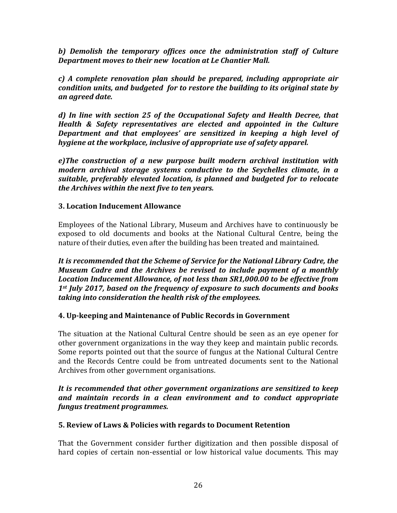b) Demolish the *temporary offices* once the administration staff of Culture **Department moves to their new location at Le Chantier Mall.** 

*c) A complete renovation plan should be prepared, including appropriate air condition units, and budgeted for to restore the building to its original state by an agreed date.*

*d)* In line with section 25 of the Occupational Safety and Health Decree, that *Health & Safety representatives are elected and appointed in the Culture*  **Department and that employees' are sensitized in keeping a high level of** *hygiene at the workplace, inclusive of appropriate use of safety apparel.* 

e)The construction of a new purpose built modern archival institution with *modern archival storage systems conductive to the Seychelles climate, in a suitable, preferably elevated location, is planned and budgeted for to relocate the Archives within the next five to ten years.* 

# **3. Location Inducement Allowance**

Employees of the National Library, Museum and Archives have to continuously be exposed to old documents and books at the National Cultural Centre, being the nature of their duties, even after the building has been treated and maintained.

It is recommended that the Scheme of Service for the National Library Cadre, the *Museum Cadre and the Archives be revised to include payment of a monthly* Location Inducement Allowance, of not less than SR1,000.00 to be effective from 1<sup>st</sup> July 2017, based on the frequency of exposure to such documents and books *taking into consideration the health risk of the employees.* 

# **4. Up-keeping and Maintenance of Public Records in Government**

The situation at the National Cultural Centre should be seen as an eve opener for other government organizations in the way they keep and maintain public records. Some reports pointed out that the source of fungus at the National Cultural Centre and the Records Centre could be from untreated documents sent to the National Archives from other government organisations.

# It is recommended that other government organizations are sensitized to keep *and maintain records in a clean environment and to conduct appropriate fungus treatment programmes.*

# **5. Review of Laws & Policies with regards to Document Retention**

That the Government consider further digitization and then possible disposal of hard copies of certain non-essential or low historical value documents. This may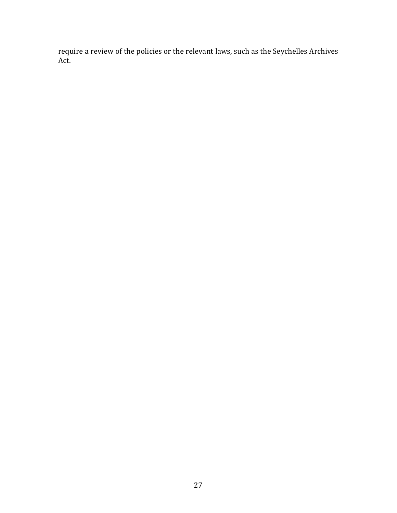require a review of the policies or the relevant laws, such as the Seychelles Archives Act.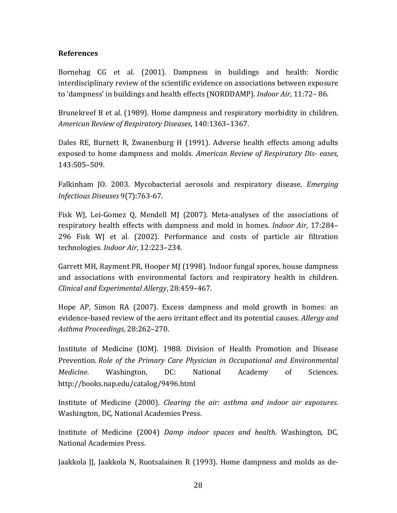# **References**

Bornehag CG et al. (2001). Dampness in buildings and health: Nordic interdisciplinary review of the scientific evidence on associations between exposure to 'dampness' in buildings and health effects (NORDDAMP). *Indoor Air*, 11:72–86.

Brunekreef B et al. (1989). Home dampness and respiratory morbidity in children. *American Review of Respiratory Diseases*, 140:1363–1367. 

Dales RE, Burnett R, Zwanenburg H (1991). Adverse health effects among adults exposed to home dampness and molds. *American Review of Respiratory Dis-eases*, 143:505–509. 

Falkinham JO. 2003. Mycobacterial aerosols and respiratory disease. *Emerging Infectious Diseases* 9(7):763-67. 

Fisk WJ, Lei-Gomez Q, Mendell MJ (2007). Meta-analyses of the associations of respiratory health effects with dampness and mold in homes. *Indoor Air*, 17:284– 296 Fisk WJ et al. (2002). Performance and costs of particle air filtration technologies. *Indoor Air*, 12:223-234.

Garrett MH, Rayment PR, Hooper MJ (1998). Indoor fungal spores, house dampness and associations with environmental factors and respiratory health in children. *Clinical and Experimental Allergy*, 28:459–467. 

Hope AP, Simon RA (2007). Excess dampness and mold growth in homes: an evidence-based review of the aero irritant effect and its potential causes. *Allergy and Asthma Proceedings*, 28:262–270. 

Institute of Medicine (IOM). 1988. Division of Health Promotion and Disease Prevention. *Role of the Primary Care Physician in Occupational and Environmental Medicine*. Washington, DC: National Academy of Sciences. http://books.nap.edu/catalog/9496.html 

Institute of Medicine (2000). *Clearing the air: asthma and indoor air exposures*. Washington, DC, National Academies Press.

Institute of Medicine (2004) *Damp indoor spaces and health*. Washington, DC, National Academies Press.

Jaakkola JJ, Jaakkola N, Ruotsalainen R (1993). Home dampness and molds as de-